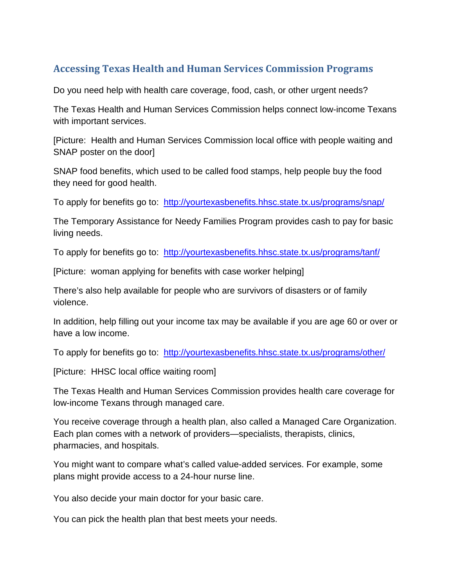## **Accessing Texas Health and Human Services Commission Programs**

Do you need help with health care coverage, food, cash, or other urgent needs?

The Texas Health and Human Services Commission helps connect low-income Texans with important services.

[Picture: Health and Human Services Commission local office with people waiting and SNAP poster on the door]

SNAP food benefits, which used to be called food stamps, help people buy the food they need for good health.

To apply for benefits go to: <http://yourtexasbenefits.hhsc.state.tx.us/programs/snap/>

The Temporary Assistance for Needy Families Program provides cash to pay for basic living needs.

To apply for benefits go to: <http://yourtexasbenefits.hhsc.state.tx.us/programs/tanf/>

[Picture: woman applying for benefits with case worker helping]

There's also help available for people who are survivors of disasters or of family violence.

In addition, help filling out your income tax may be available if you are age 60 or over or have a low income.

To apply for benefits go to: <http://yourtexasbenefits.hhsc.state.tx.us/programs/other/>

[Picture: HHSC local office waiting room]

The Texas Health and Human Services Commission provides health care coverage for low-income Texans through managed care.

You receive coverage through a health plan, also called a Managed Care Organization. Each plan comes with a network of providers—specialists, therapists, clinics, pharmacies, and hospitals.

You might want to compare what's called value-added services. For example, some plans might provide access to a 24-hour nurse line.

You also decide your main doctor for your basic care.

You can pick the health plan that best meets your needs.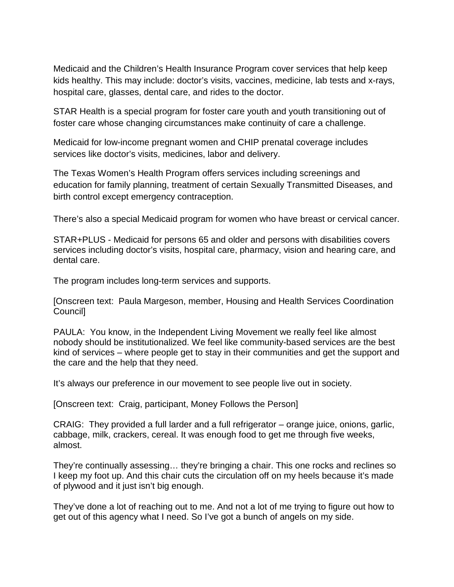Medicaid and the Children's Health Insurance Program cover services that help keep kids healthy. This may include: doctor's visits, vaccines, medicine, lab tests and x-rays, hospital care, glasses, dental care, and rides to the doctor.

STAR Health is a special program for foster care youth and youth transitioning out of foster care whose changing circumstances make continuity of care a challenge.

Medicaid for low-income pregnant women and CHIP prenatal coverage includes services like doctor's visits, medicines, labor and delivery.

The Texas Women's Health Program offers services including screenings and education for family planning, treatment of certain Sexually Transmitted Diseases, and birth control except emergency contraception.

There's also a special Medicaid program for women who have breast or cervical cancer.

STAR+PLUS - Medicaid for persons 65 and older and persons with disabilities covers services including doctor's visits, hospital care, pharmacy, vision and hearing care, and dental care.

The program includes long-term services and supports.

[Onscreen text: Paula Margeson, member, Housing and Health Services Coordination Council]

PAULA: You know, in the Independent Living Movement we really feel like almost nobody should be institutionalized. We feel like community-based services are the best kind of services – where people get to stay in their communities and get the support and the care and the help that they need.

It's always our preference in our movement to see people live out in society.

[Onscreen text: Craig, participant, Money Follows the Person]

CRAIG: They provided a full larder and a full refrigerator – orange juice, onions, garlic, cabbage, milk, crackers, cereal. It was enough food to get me through five weeks, almost.

They're continually assessing… they're bringing a chair. This one rocks and reclines so I keep my foot up. And this chair cuts the circulation off on my heels because it's made of plywood and it just isn't big enough.

They've done a lot of reaching out to me. And not a lot of me trying to figure out how to get out of this agency what I need. So I've got a bunch of angels on my side.